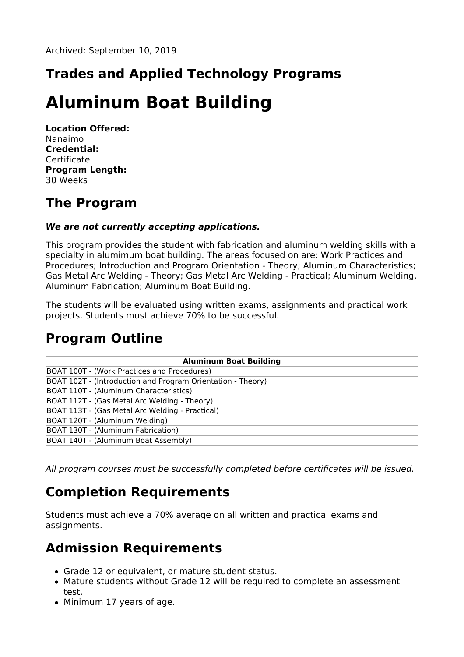# **Trades and Applied Technology Programs**

# **Aluminum Boat Building**

**Location Offered:** Nanaimo **Credential:** Certificate **Program Length:** 30 Weeks

### **The Program**

#### **We are not currently accepting applications.**

This program provides the student with fabrication and aluminum welding skills with a specialty in alumimum boat building. The areas focused on are: Work Practices and Procedures; Introduction and Program Orientation - Theory; Aluminum Characteristics; Gas Metal Arc Welding - Theory; Gas Metal Arc Welding - Practical; Aluminum Welding, Aluminum Fabrication; Aluminum Boat Building.

The students will be evaluated using written exams, assignments and practical work projects. Students must achieve 70% to be successful.

#### **Program Outline**

| <b>Aluminum Boat Building</b>                               |
|-------------------------------------------------------------|
| BOAT 100T - (Work Practices and Procedures)                 |
| BOAT 102T - (Introduction and Program Orientation - Theory) |
| BOAT 110T - (Aluminum Characteristics)                      |
| BOAT 112T - (Gas Metal Arc Welding - Theory)                |
| BOAT 113T - (Gas Metal Arc Welding - Practical)             |
| BOAT 120T - (Aluminum Welding)                              |
| BOAT 130T - (Aluminum Fabrication)                          |
| BOAT 140T - (Aluminum Boat Assembly)                        |

All program courses must be successfully completed before certificates will be issued.

## **Completion Requirements**

Students must achieve a 70% average on all written and practical exams and assignments.

#### **Admission Requirements**

- Grade 12 or equivalent, or mature student status.
- Mature students without Grade 12 will be required to complete an assessment test.
- Minimum 17 years of age.